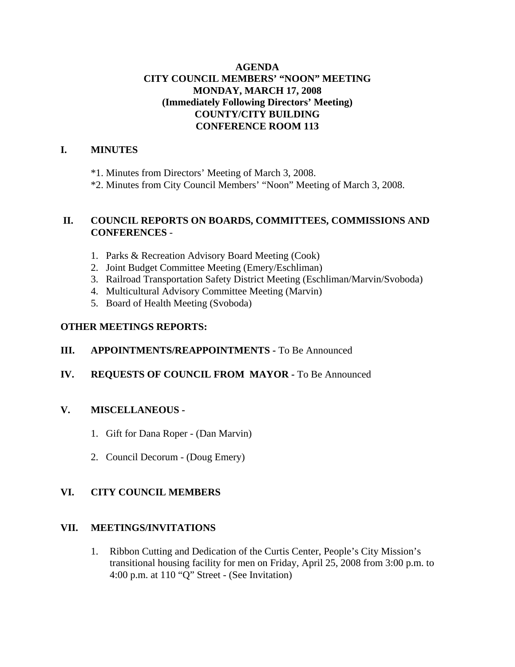#### **AGENDA CITY COUNCIL MEMBERS' "NOON" MEETING MONDAY, MARCH 17, 2008 (Immediately Following Directors' Meeting) COUNTY/CITY BUILDING CONFERENCE ROOM 113**

#### **I. MINUTES**

\*1. Minutes from Directors' Meeting of March 3, 2008.

\*2. Minutes from City Council Members' "Noon" Meeting of March 3, 2008.

#### **II. COUNCIL REPORTS ON BOARDS, COMMITTEES, COMMISSIONS AND CONFERENCES** -

- 1. Parks & Recreation Advisory Board Meeting (Cook)
- 2. Joint Budget Committee Meeting (Emery/Eschliman)
- 3. Railroad Transportation Safety District Meeting (Eschliman/Marvin/Svoboda)
- 4. Multicultural Advisory Committee Meeting (Marvin)
- 5. Board of Health Meeting (Svoboda)

#### **OTHER MEETINGS REPORTS:**

#### **III.** APPOINTMENTS/REAPPOINTMENTS - To Be Announced

#### **IV. REQUESTS OF COUNCIL FROM MAYOR -** To Be Announced

#### **V. MISCELLANEOUS -**

- 1. Gift for Dana Roper (Dan Marvin)
- 2. Council Decorum (Doug Emery)

#### **VI. CITY COUNCIL MEMBERS**

#### **VII. MEETINGS/INVITATIONS**

1. Ribbon Cutting and Dedication of the Curtis Center, People's City Mission's transitional housing facility for men on Friday, April 25, 2008 from 3:00 p.m. to 4:00 p.m. at 110 "Q" Street - (See Invitation)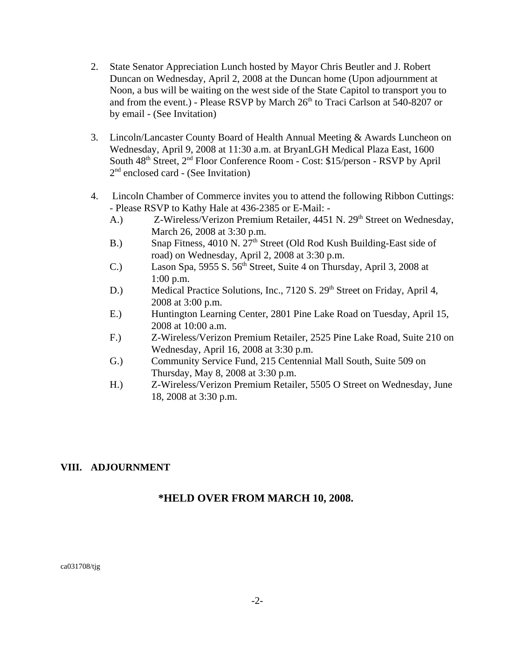- 2. State Senator Appreciation Lunch hosted by Mayor Chris Beutler and J. Robert Duncan on Wednesday, April 2, 2008 at the Duncan home (Upon adjournment at Noon, a bus will be waiting on the west side of the State Capitol to transport you to and from the event.) - Please RSVP by March  $26<sup>th</sup>$  to Traci Carlson at 540-8207 or by email - (See Invitation)
- 3. Lincoln/Lancaster County Board of Health Annual Meeting & Awards Luncheon on Wednesday, April 9, 2008 at 11:30 a.m. at BryanLGH Medical Plaza East, 1600 South 48th Street, 2nd Floor Conference Room - Cost: \$15/person - RSVP by April 2<sup>nd</sup> enclosed card - (See Invitation)
- 4. Lincoln Chamber of Commerce invites you to attend the following Ribbon Cuttings: - Please RSVP to Kathy Hale at 436-2385 or E-Mail: -
	- A.) Z-Wireless/Verizon Premium Retailer, 4451 N. 29<sup>th</sup> Street on Wednesday, March 26, 2008 at 3:30 p.m.
	- B.) Snap Fitness, 4010 N. 27<sup>th</sup> Street (Old Rod Kush Building-East side of road) on Wednesday, April 2, 2008 at 3:30 p.m.
	- C.) Lason Spa, 5955 S.  $56<sup>th</sup>$  Street, Suite 4 on Thursday, April 3, 2008 at 1:00 p.m.
	- D.) Medical Practice Solutions, Inc., 7120 S. 29<sup>th</sup> Street on Friday, April 4, 2008 at 3:00 p.m.
	- E.) Huntington Learning Center, 2801 Pine Lake Road on Tuesday, April 15, 2008 at 10:00 a.m.
	- F.) Z-Wireless/Verizon Premium Retailer, 2525 Pine Lake Road, Suite 210 on Wednesday, April 16, 2008 at 3:30 p.m.
	- G.) Community Service Fund, 215 Centennial Mall South, Suite 509 on Thursday, May 8, 2008 at 3:30 p.m.
	- H.) Z-Wireless/Verizon Premium Retailer, 5505 O Street on Wednesday, June 18, 2008 at 3:30 p.m.

#### **VIII. ADJOURNMENT**

#### **\*HELD OVER FROM MARCH 10, 2008.**

ca031708/tjg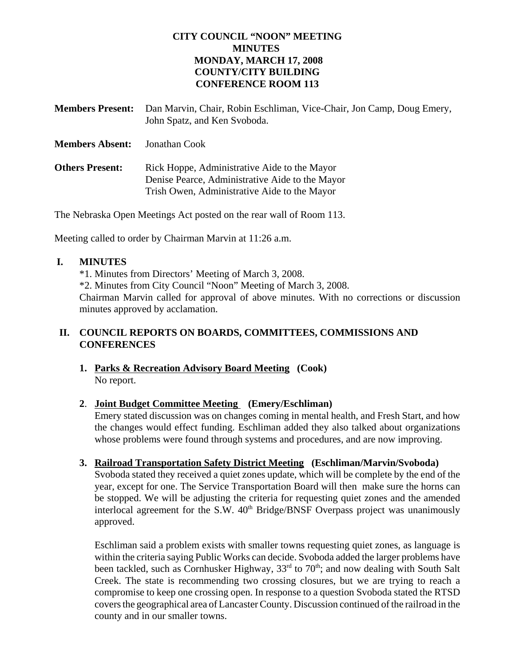#### **CITY COUNCIL "NOON" MEETING MINUTES MONDAY, MARCH 17, 2008 COUNTY/CITY BUILDING CONFERENCE ROOM 113**

| <b>Members Present:</b> | Dan Marvin, Chair, Robin Eschliman, Vice-Chair, Jon Camp, Doug Emery,<br>John Spatz, and Ken Svoboda.                                           |
|-------------------------|-------------------------------------------------------------------------------------------------------------------------------------------------|
| <b>Members Absent:</b>  | Jonathan Cook                                                                                                                                   |
| <b>Others Present:</b>  | Rick Hoppe, Administrative Aide to the Mayor<br>Denise Pearce, Administrative Aide to the Mayor<br>Trish Owen, Administrative Aide to the Mayor |

The Nebraska Open Meetings Act posted on the rear wall of Room 113.

Meeting called to order by Chairman Marvin at 11:26 a.m.

#### **I. MINUTES**

\*1. Minutes from Directors' Meeting of March 3, 2008. \*2. Minutes from City Council "Noon" Meeting of March 3, 2008. Chairman Marvin called for approval of above minutes. With no corrections or discussion minutes approved by acclamation.

#### **II. COUNCIL REPORTS ON BOARDS, COMMITTEES, COMMISSIONS AND CONFERENCES**

**1. Parks & Recreation Advisory Board Meeting (Cook)** No report.

#### **2**. **Joint Budget Committee Meeting (Emery/Eschliman)**

Emery stated discussion was on changes coming in mental health, and Fresh Start, and how the changes would effect funding. Eschliman added they also talked about organizations whose problems were found through systems and procedures, and are now improving.

#### **3. Railroad Transportation Safety District Meeting (Eschliman/Marvin/Svoboda)**

Svoboda stated they received a quiet zones update, which will be complete by the end of the year, except for one. The Service Transportation Board will then make sure the horns can be stopped. We will be adjusting the criteria for requesting quiet zones and the amended interlocal agreement for the S.W.  $40<sup>th</sup>$  Bridge/BNSF Overpass project was unanimously approved.

Eschliman said a problem exists with smaller towns requesting quiet zones, as language is within the criteria saying Public Works can decide. Svoboda added the larger problems have been tackled, such as Cornhusker Highway,  $33<sup>rd</sup>$  to  $70<sup>th</sup>$ ; and now dealing with South Salt Creek. The state is recommending two crossing closures, but we are trying to reach a compromise to keep one crossing open. In response to a question Svoboda stated the RTSD covers the geographical area of Lancaster County. Discussion continued of the railroad in the county and in our smaller towns.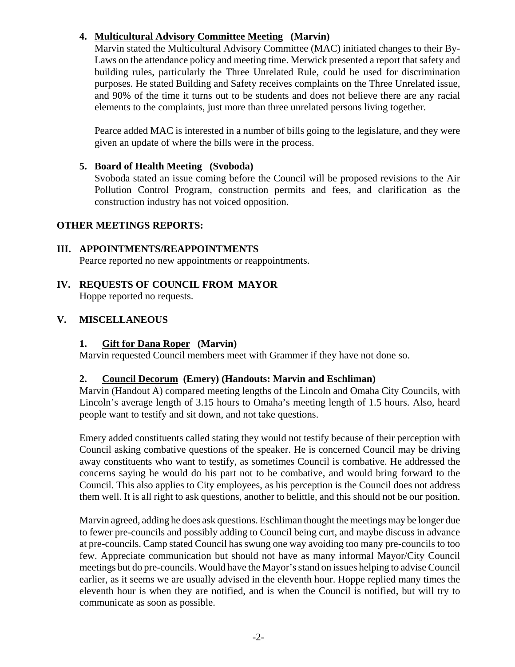#### **4. Multicultural Advisory Committee Meeting (Marvin)**

Marvin stated the Multicultural Advisory Committee (MAC) initiated changes to their By-Laws on the attendance policy and meeting time. Merwick presented a report that safety and building rules, particularly the Three Unrelated Rule, could be used for discrimination purposes. He stated Building and Safety receives complaints on the Three Unrelated issue, and 90% of the time it turns out to be students and does not believe there are any racial elements to the complaints, just more than three unrelated persons living together.

Pearce added MAC is interested in a number of bills going to the legislature, and they were given an update of where the bills were in the process.

#### **5. Board of Health Meeting (Svoboda)**

Svoboda stated an issue coming before the Council will be proposed revisions to the Air Pollution Control Program, construction permits and fees, and clarification as the construction industry has not voiced opposition.

#### **OTHER MEETINGS REPORTS:**

#### **III. APPOINTMENTS/REAPPOINTMENTS**

Pearce reported no new appointments or reappointments.

**IV. REQUESTS OF COUNCIL FROM MAYOR** Hoppe reported no requests.

#### **V. MISCELLANEOUS**

#### **1. Gift for Dana Roper (Marvin)**

Marvin requested Council members meet with Grammer if they have not done so.

#### **2. Council Decorum (Emery) (Handouts: Marvin and Eschliman)**

Marvin (Handout A) compared meeting lengths of the Lincoln and Omaha City Councils, with Lincoln's average length of 3.15 hours to Omaha's meeting length of 1.5 hours. Also, heard people want to testify and sit down, and not take questions.

Emery added constituents called stating they would not testify because of their perception with Council asking combative questions of the speaker. He is concerned Council may be driving away constituents who want to testify, as sometimes Council is combative. He addressed the concerns saying he would do his part not to be combative, and would bring forward to the Council. This also applies to City employees, as his perception is the Council does not address them well. It is all right to ask questions, another to belittle, and this should not be our position.

Marvin agreed, adding he does ask questions. Eschliman thought the meetings may be longer due to fewer pre-councils and possibly adding to Council being curt, and maybe discuss in advance at pre-councils. Camp stated Council has swung one way avoiding too many pre-councils to too few. Appreciate communication but should not have as many informal Mayor/City Council meetings but do pre-councils. Would have the Mayor's stand on issues helping to advise Council earlier, as it seems we are usually advised in the eleventh hour. Hoppe replied many times the eleventh hour is when they are notified, and is when the Council is notified, but will try to communicate as soon as possible.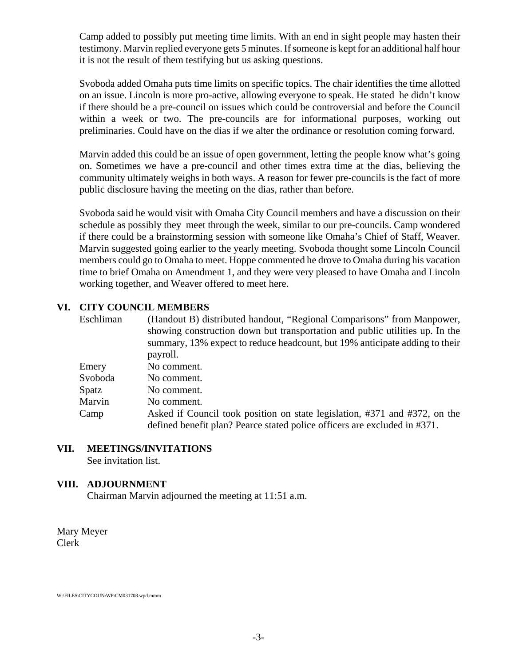Camp added to possibly put meeting time limits. With an end in sight people may hasten their testimony. Marvin replied everyone gets 5 minutes. If someone is kept for an additional half hour it is not the result of them testifying but us asking questions.

Svoboda added Omaha puts time limits on specific topics. The chair identifies the time allotted on an issue. Lincoln is more pro-active, allowing everyone to speak. He stated he didn't know if there should be a pre-council on issues which could be controversial and before the Council within a week or two. The pre-councils are for informational purposes, working out preliminaries. Could have on the dias if we alter the ordinance or resolution coming forward.

Marvin added this could be an issue of open government, letting the people know what's going on. Sometimes we have a pre-council and other times extra time at the dias, believing the community ultimately weighs in both ways. A reason for fewer pre-councils is the fact of more public disclosure having the meeting on the dias, rather than before.

Svoboda said he would visit with Omaha City Council members and have a discussion on their schedule as possibly they meet through the week, similar to our pre-councils. Camp wondered if there could be a brainstorming session with someone like Omaha's Chief of Staff, Weaver. Marvin suggested going earlier to the yearly meeting. Svoboda thought some Lincoln Council members could go to Omaha to meet. Hoppe commented he drove to Omaha during his vacation time to brief Omaha on Amendment 1, and they were very pleased to have Omaha and Lincoln working together, and Weaver offered to meet here.

#### **VI. CITY COUNCIL MEMBERS**

| Eschliman | (Handout B) distributed handout, "Regional Comparisons" from Manpower,<br>showing construction down but transportation and public utilities up. In the<br>summary, 13% expect to reduce headcount, but 19% anticipate adding to their<br>payroll. |
|-----------|---------------------------------------------------------------------------------------------------------------------------------------------------------------------------------------------------------------------------------------------------|
| Emery     |                                                                                                                                                                                                                                                   |
|           | No comment.                                                                                                                                                                                                                                       |
| Svoboda   | No comment.                                                                                                                                                                                                                                       |
| Spatz     | No comment.                                                                                                                                                                                                                                       |
| Marvin    | No comment.                                                                                                                                                                                                                                       |
| Camp      | Asked if Council took position on state legislation, #371 and #372, on the                                                                                                                                                                        |
|           | defined benefit plan? Pearce stated police officers are excluded in #371.                                                                                                                                                                         |

### **VII. MEETINGS/INVITATIONS**

See invitation list.

#### **VIII. ADJOURNMENT**

Chairman Marvin adjourned the meeting at 11:51 a.m.

Mary Meyer Clerk

W:\FILES\CITYCOUN\WP\CM031708.wpd.mmm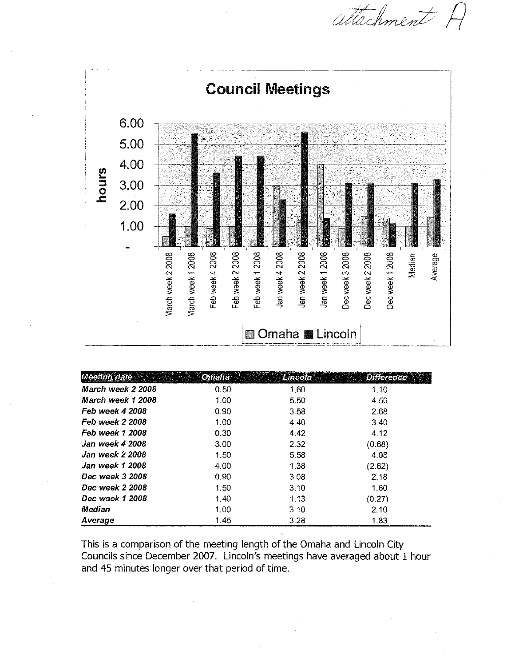attachment



| Meeting dater            | <b>Omalia</b> | Lincoln | <b>Difference</b> |
|--------------------------|---------------|---------|-------------------|
| March week 2 2008        | 0.50          | 1.60    | 1.10              |
| <i>March week 1 2008</i> | 1.00          | 5.50    | 4.50              |
| Feb week 4 2008          | 0.90          | 3.58    | 2.68              |
| Feb week 2 2008          | 1.00          | 4.40    | 3.40              |
| Feb week 1 2008          | 0.30          | 4.42    | 4.12              |
| Jan week 4 2008          | 3.00          | 2.32    | (0.68)            |
| Jan week 2 2008          | 1.50          | 5.58    | 4.08              |
| Jan week 1 2008          | 4.00          | 1.38    | (2.62)            |
| Dec week 3 2008          | 0.90          | 3.08    | 2.18              |
| Dec week 2 2008          | 1.50          | 3.10    | 1.60              |
| Dec week 1,2008          | 1.40          | 1.13    | (0.27)            |
| Median                   | 1.00          | 3.10    | 2.10              |
| Average                  | 1.45          | 3.28    | 1.83              |

This is a comparison of the meeting length of the Omaha and Lincoln City Councils since December 2007. Lincoln's meetings have averaged about 1 hour and 45 minutes longer over that period of time.